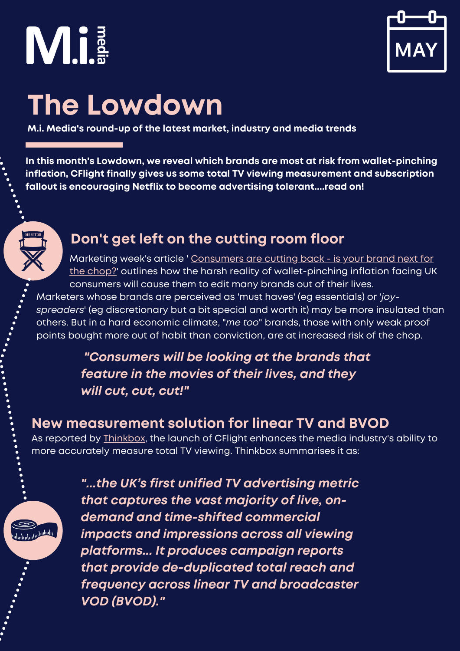



### **The Lowdown**

**M.i. Media's round-up of the latest market, industry and media trends**

**In this month's Lowdown, we reveal which brands are most at risk from wallet-pinching inflation, CFlight finally gives us some total TV viewing measurement and subscription fallout is encouraging Netflix to become advertising tolerant....read on!**

#### **Don't get left on the cutting room floor**

Marketing week's article ' Consumers are cutting back - is your brand next for the chop?' outlines how the harsh reality of [wallet-pinching](https://www.marketingweek.com/helen-edwards-consumers-cutting-back/) inflation facing UK consumers will cause them to edit many brands out of their lives.

Marketers whose brands are perceived as 'must haves' (eg essentials) or '*joyspreaders*' (eg discretionary but a bit special and worth it) may be more insulated than others. But in a hard economic climate, "*me too*" brands, those with only weak proof points bought more out of habit than conviction, are at increased risk of the chop.

> *"Consumers will be looking at the brands that feature in the movies of their lives, and they will cut, cut, cut!"*

#### **New measurement solution for linear TV and BVOD**

As reported by [Thinkbox](https://www.thinkbox.tv/how-to-use-tv/advanced-tv/measurement-cflight/), the launch of CFlight enhances the media industry's ability to more accurately measure total TV viewing. Thinkbox summarises it as:

*"...the UK's first unified TV advertising metric that captures the vast majority of live, ondemand and time-shifted commercial impacts and impressions across all viewing platforms... It produces campaign reports that provide de-duplicated total reach and frequency across linear TV and broadcaster VOD (BVOD)."*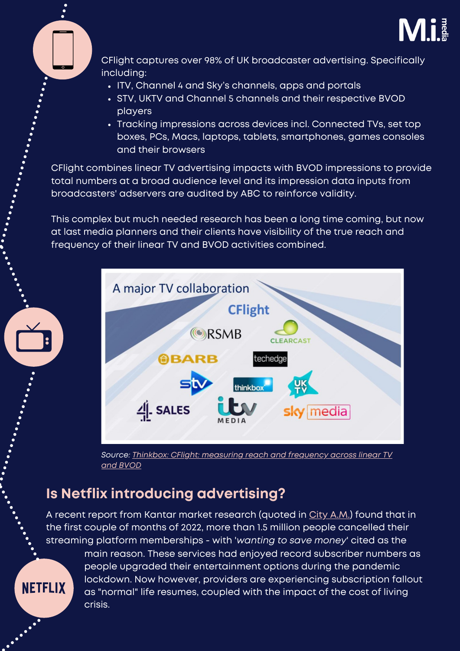



CFlight captures over 98% of UK broadcaster advertising. Specifically including:

- ITV, Channel 4 and Sky's channels, apps and portals
- STV, UKTV and Channel 5 channels and their respective BVOD players
- Tracking impressions across devices incl. Connected TVs, set top boxes, PCs, Macs, laptops, tablets, smartphones, games consoles and their browsers

CFlight combines linear TV advertising impacts with BVOD impressions to provide total numbers at a broad audience level and its impression data inputs from broadcasters' adservers are audited by ABC to reinforce validity.

This complex but much needed research has been a long time coming, but now at last media planners and their clients have visibility of the true reach and frequency of their linear TV and BVOD activities combined.



*Source: Thinkbox: CFlight: [measuring](https://www.thinkbox.tv/how-to-use-tv/advanced-tv/measurement-cflight/) reach and frequency across linear TV and BVOD*

#### **Is Netflix introducing advertising?**

A recent report from Kantar market research (quoted in City [A.M.](https://www.cityam.com/over-1-5m-brits-cancel-streaming-subscriptions-as-cost-of-living-crunch-sets-in/)) found that in the first couple of months of 2022, more than 1.5 million people cancelled their streaming platform memberships - with '*wanting to save money*' cited as the

**NETFLIX** 

main reason. These services had enjoyed record subscriber numbers as people upgraded their entertainment options during the pandemic lockdown. Now however, providers are experiencing subscription fallout as "normal" life resumes, coupled with the impact of the cost of living crisis.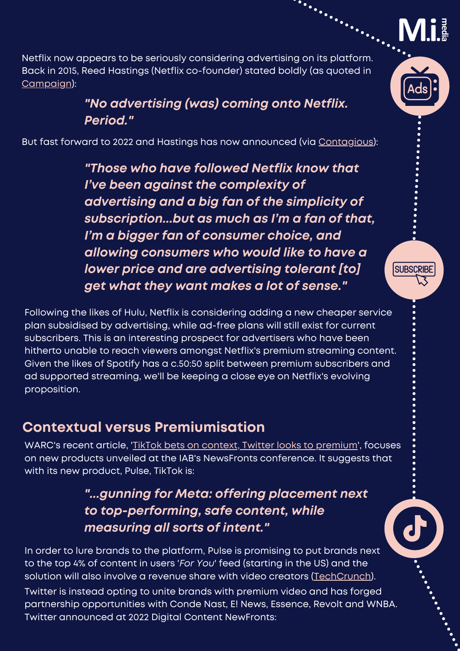

Netflix now appears to be seriously considering advertising on its platform. Back in 2015, Reed Hastings (Netflix co-founder) stated boldly (as quoted in [Campaign\)](https://www.campaignlive.co.uk/article/netflix-opportunity-deliver-superb-avod-experience/1754643):

#### *"No advertising (was) coming onto Netflix. Period."*

But fast forward to 2022 and Hastings has now announced (via [Contagious\)](https://www.contagious.com/news-and-views/netflix-hints-at-ad-plans-after?utm_campaign=Contagious%20Edit%20&utm_medium=email&_hsmi=211162669&_hsenc=p2ANqtz-_Bux_Jl8mYQjBd6rVGSVSEnu7a4FIfmNDR02Jov7StTvybaBXlpOepwzbKt6fJqFWyjo9TONjzD2hTPmlJofdjVFcArTAqdjGu6XaQ4kPQiZd0fBM&utm_content=211164377&utm_source=hs_email):

*"Those who have followed Netflix know that I've been against the complexity of advertising and a big fan of the simplicity of subscription...but as much as I'm a fan of that, I'm a bigger fan of consumer choice, and allowing consumers who would like to have a lower price and are advertising tolerant [to] get what they want makes a lot of sense."*

Following the likes of Hulu, Netflix is considering adding a new cheaper service plan subsidised by advertising, while ad-free plans will still exist for current subscribers. This is an interesting prospect for advertisers who have been hitherto unable to reach viewers amongst Netflix's premium streaming content. Given the likes of Spotify has a c.50:50 split between premium subscribers and ad supported streaming, we'll be keeping a close eye on Netflix's evolving proposition.

#### **Contextual versus Premiumisation**

WARC's recent article, 'TikTok bets on context, Twitter looks to [premium](https://www.warc.com/content/feed/tiktok-bets-on-context-twitter-looks-to-premium/en-gb/6686)', focuses on new products unveiled at the IAB's NewsFronts conference. It suggests that with its new product, Pulse, TikTok is:

#### *"...gunning for Meta: offering placement next to top-performing, safe content, while measuring all sorts of intent."*

In order to lure brands to the platform, Pulse is promising to put brands next to the top 4% of content in users '*For You*' feed (starting in the US) and the solution will also involve a revenue share with video creators [\(TechCrunch\)](https://techcrunch.com/2022/05/04/tiktok-introduces-its-first-ad-product-to-offer-a-revenue-share-with-creators/?guccounter=1&guce_referrer=aHR0cHM6Ly93d3cud2FyYy5jb20vY29udGVudC9mZWVkL3Rpa3Rvay1iZXRzLW9uLWNvbnRleHQtdHdpdHRlci1sb29rcy10by1wcmVtaXVtL2VuLWdiLzY2ODY&guce_referrer_sig=AQAAAEx3R_TaQ5FmiEucg-A_tKg5Fpmr0GwYPyw-ziM6-ewBXWMjMguz1T_cAEXR3N3MxK3LWKN1APE36QgkNrLevt6IkjlMg2CiELVzjhH1CCu0o0G_qskHVYRyq96Z3VI2t5Kk_04jwaR6Nps6QgrvMkQWp2ek6iqb0vftFz4IEVaz).

[Twitter](https://business.twitter.com/en/blog/twitter-newfronts-2022.html) is instead opting to unite brands with premium video and has forged partnership opportunities with Conde Nast, E! News, Essence, Revolt and WNBA. Twitter announced at 2022 Digital Content NewFronts:



**SUBSCRIBE**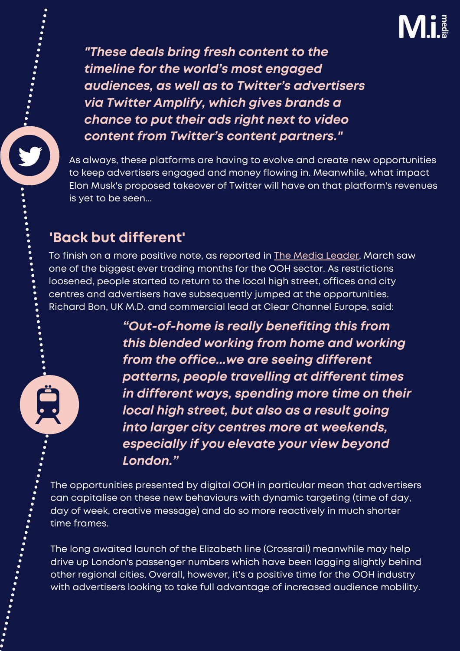## Mi

*"These deals bring fresh content to the timeline for the world's most engaged audiences, as well as to Twitter's advertisers via Twitter Amplify, which gives brands a chance to put their ads right next to video content from Twitter's content partners."*

As always, these platforms are having to evolve and create new [opportunities](https://business.twitter.com/en/blog/twitter-newfronts-2022.html) to keep advertisers engaged and money flowing in. Meanwhile, what impact Elon Musk's proposed takeover of Twitter will have on that platform's revenues is yet to be seen...

#### **'Back but different'**

. . . . . . . . . . . . .

To finish on a more positive note, as [reported](https://business.twitter.com/en/blog/twitter-newfronts-2022.html) in The Media [Leader,](https://business.twitter.com/en/blog/twitter-newfronts-2022.html) March saw one of the biggest ever trading months for the OOH sector. As restrictions loosened, people started to return to the local high street, offices and city centres and advertisers have subsequently jumped at the [opportunities.](https://business.twitter.com/en/blog/twitter-newfronts-2022.html) Richard Bon, UK M.D. and commercial lead at Clear Channel Europe, said:

> *"Out-of-home is really benefiting this from this blended working from home and working from the office...we are seeing different patterns, people travelling at different times in different ways, spending more time on their local high street, but also as a result going into larger city centres more at weekends, especially if you elevate your view beyond London."*

The [opportunities](https://business.twitter.com/en/blog/twitter-newfronts-2022.html) presented by digital OOH in particular mean that advertisers can capitalise on these new behaviours with dynamic targeting (time of day, day of week, creative message) and do so more reactively in much shorter time frames.

The long awaited launch of the Elizabeth line (Crossrail) meanwhile may help drive up London's passenger numbers which have been lagging slightly behind other regional cities. Overall, however, it's a positive time for the OOH industry with advertisers looking to take full [advantage](https://business.twitter.com/en/blog/twitter-newfronts-2022.html) of increased audience mobility.